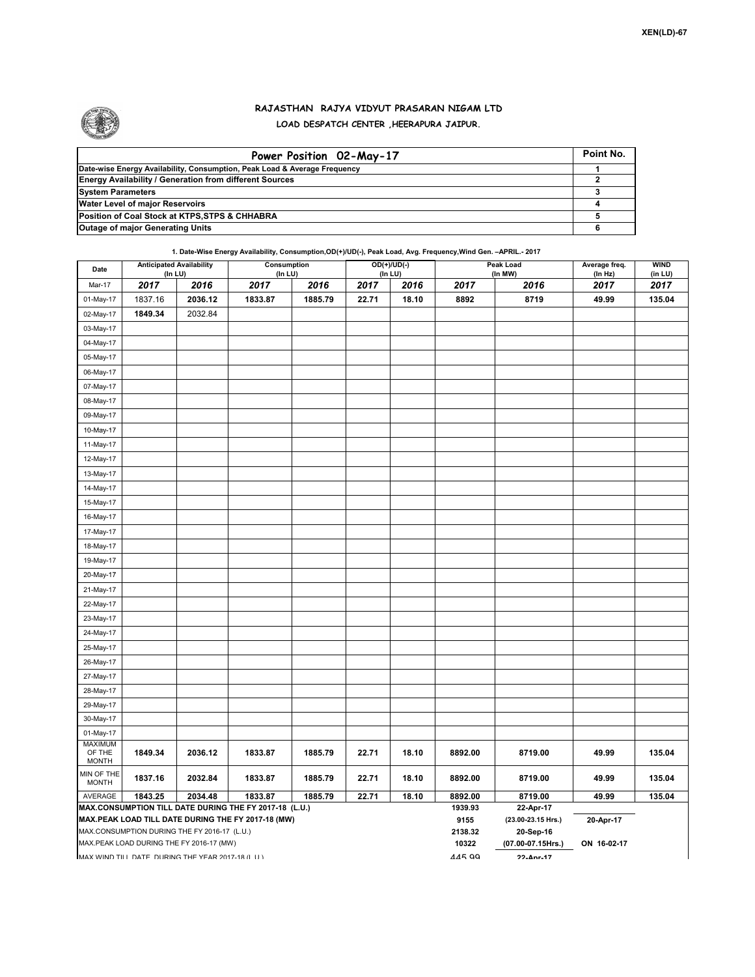

## **RAJASTHAN RAJYA VIDYUT PRASARAN NIGAM LTD LOAD DESPATCH CENTER ,HEERAPURA JAIPUR.**

| Power Position 02-May-17                                                  | Point No. |
|---------------------------------------------------------------------------|-----------|
| Date-wise Energy Availability, Consumption, Peak Load & Average Frequency |           |
| <b>Energy Availability / Generation from different Sources</b>            |           |
| <b>System Parameters</b>                                                  |           |
| <b>Water Level of major Reservoirs</b>                                    |           |
| Position of Coal Stock at KTPS, STPS & CHHABRA                            |           |
| <b>Outage of major Generating Units</b>                                   |           |

**1. Date-Wise Energy Availability, Consumption,OD(+)/UD(-), Peak Load, Avg. Frequency,Wind Gen. –APRIL.- 2017**

| Date                                                                                                         | <b>Anticipated Availability</b><br>(In LU) |         | Consumption<br>(In LU) |         | $OD(+)/UD(-)$<br>(In LU) |       |                    | Peak Load<br>(In MW)            | Average freq.<br>(In Hz) | <b>WIND</b><br>(in LU) |  |
|--------------------------------------------------------------------------------------------------------------|--------------------------------------------|---------|------------------------|---------|--------------------------|-------|--------------------|---------------------------------|--------------------------|------------------------|--|
| Mar-17                                                                                                       | 2017                                       | 2016    | 2017                   | 2016    | 2017                     | 2016  | 2017               | 2016                            | 2017                     | 2017                   |  |
| 01-May-17                                                                                                    | 1837.16                                    | 2036.12 | 1833.87                | 1885.79 | 22.71                    | 18.10 | 8892               | 8719                            | 49.99                    | 135.04                 |  |
| 02-May-17                                                                                                    | 1849.34                                    | 2032.84 |                        |         |                          |       |                    |                                 |                          |                        |  |
| 03-May-17                                                                                                    |                                            |         |                        |         |                          |       |                    |                                 |                          |                        |  |
| 04-May-17                                                                                                    |                                            |         |                        |         |                          |       |                    |                                 |                          |                        |  |
| 05-May-17                                                                                                    |                                            |         |                        |         |                          |       |                    |                                 |                          |                        |  |
| 06-May-17                                                                                                    |                                            |         |                        |         |                          |       |                    |                                 |                          |                        |  |
| 07-May-17                                                                                                    |                                            |         |                        |         |                          |       |                    |                                 |                          |                        |  |
| 08-May-17                                                                                                    |                                            |         |                        |         |                          |       |                    |                                 |                          |                        |  |
| 09-May-17                                                                                                    |                                            |         |                        |         |                          |       |                    |                                 |                          |                        |  |
| 10-May-17                                                                                                    |                                            |         |                        |         |                          |       |                    |                                 |                          |                        |  |
| 11-May-17                                                                                                    |                                            |         |                        |         |                          |       |                    |                                 |                          |                        |  |
| 12-May-17                                                                                                    |                                            |         |                        |         |                          |       |                    |                                 |                          |                        |  |
| 13-May-17                                                                                                    |                                            |         |                        |         |                          |       |                    |                                 |                          |                        |  |
| 14-May-17                                                                                                    |                                            |         |                        |         |                          |       |                    |                                 |                          |                        |  |
| 15-May-17                                                                                                    |                                            |         |                        |         |                          |       |                    |                                 |                          |                        |  |
| 16-May-17                                                                                                    |                                            |         |                        |         |                          |       |                    |                                 |                          |                        |  |
| 17-May-17                                                                                                    |                                            |         |                        |         |                          |       |                    |                                 |                          |                        |  |
| 18-May-17                                                                                                    |                                            |         |                        |         |                          |       |                    |                                 |                          |                        |  |
| 19-May-17                                                                                                    |                                            |         |                        |         |                          |       |                    |                                 |                          |                        |  |
| 20-May-17                                                                                                    |                                            |         |                        |         |                          |       |                    |                                 |                          |                        |  |
| 21-May-17                                                                                                    |                                            |         |                        |         |                          |       |                    |                                 |                          |                        |  |
| 22-May-17                                                                                                    |                                            |         |                        |         |                          |       |                    |                                 |                          |                        |  |
| 23-May-17                                                                                                    |                                            |         |                        |         |                          |       |                    |                                 |                          |                        |  |
| 24-May-17                                                                                                    |                                            |         |                        |         |                          |       |                    |                                 |                          |                        |  |
| 25-May-17                                                                                                    |                                            |         |                        |         |                          |       |                    |                                 |                          |                        |  |
| 26-May-17                                                                                                    |                                            |         |                        |         |                          |       |                    |                                 |                          |                        |  |
| 27-May-17                                                                                                    |                                            |         |                        |         |                          |       |                    |                                 |                          |                        |  |
| 28-May-17                                                                                                    |                                            |         |                        |         |                          |       |                    |                                 |                          |                        |  |
| 29-May-17                                                                                                    |                                            |         |                        |         |                          |       |                    |                                 |                          |                        |  |
| 30-May-17                                                                                                    |                                            |         |                        |         |                          |       |                    |                                 |                          |                        |  |
| 01-May-17                                                                                                    |                                            |         |                        |         |                          |       |                    |                                 |                          |                        |  |
| <b>MAXIMUM</b><br>OF THE<br><b>MONTH</b>                                                                     | 1849.34                                    | 2036.12 | 1833.87                | 1885.79 | 22.71                    | 18.10 | 8892.00            | 8719.00                         | 49.99                    | 135.04                 |  |
| MIN OF THE<br><b>MONTH</b>                                                                                   | 1837.16                                    | 2032.84 | 1833.87                | 1885.79 | 22.71                    | 18.10 | 8892.00            | 8719.00                         | 49.99                    | 135.04                 |  |
| AVERAGE                                                                                                      | 1843.25                                    | 2034.48 | 1833.87                | 1885.79 | 22.71                    | 18.10 | 8892.00<br>1939.93 | 8719.00                         | 49.99                    | 135.04                 |  |
| MAX.CONSUMPTION TILL DATE DURING THE FY 2017-18 (L.U.)<br>MAX.PEAK LOAD TILL DATE DURING THE FY 2017-18 (MW) |                                            |         |                        |         |                          |       |                    | 22-Apr-17<br>(23.00-23.15 Hrs.) | 20-Apr-17                |                        |  |
| MAX.CONSUMPTION DURING THE FY 2016-17 (L.U.)                                                                 |                                            |         |                        |         |                          |       | 9155<br>2138.32    | 20-Sep-16                       |                          |                        |  |
| MAX.PEAK LOAD DURING THE FY 2016-17 (MW)                                                                     |                                            |         |                        |         |                          |       | 10322              | (07.00-07.15Hrs.)               | ON 16-02-17              |                        |  |
| MAX WIND TILL DATE DURING THE YEAR 2017-18 (LIT)                                                             |                                            |         |                        |         |                          |       |                    | $22. Anr - 17$                  |                          |                        |  |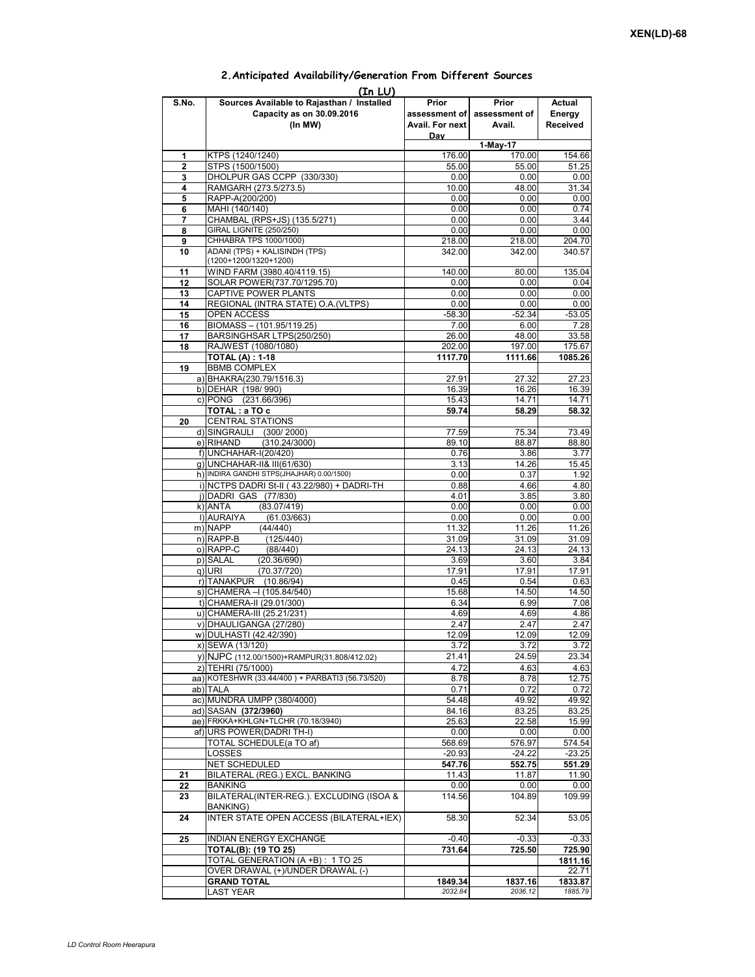| (In LU)  |                                                                       |                 |                             |                    |  |  |  |  |  |
|----------|-----------------------------------------------------------------------|-----------------|-----------------------------|--------------------|--|--|--|--|--|
| S.No.    | Sources Available to Rajasthan / Installed                            | Prior           | Prior                       | Actual             |  |  |  |  |  |
|          | Capacity as on 30.09.2016                                             |                 | assessment of assessment of | Energy             |  |  |  |  |  |
|          | (In MW)                                                               | Avail. For next | Avail.                      | Received           |  |  |  |  |  |
|          |                                                                       | <b>Day</b>      | 1-May-17                    |                    |  |  |  |  |  |
| 1        | KTPS (1240/1240)                                                      | 176.00          | 170.00                      | 154.66             |  |  |  |  |  |
| 2        | STPS (1500/1500)                                                      | 55.00           | 55.00                       | 51.25              |  |  |  |  |  |
| 3        | DHOLPUR GAS CCPP (330/330)                                            | 0.00            | 0.00                        | 0.00               |  |  |  |  |  |
| 4        | RAMGARH (273.5/273.5)                                                 | 10.00           | 48.00                       | 31.34              |  |  |  |  |  |
| 5        | RAPP-A(200/200)                                                       | 0.00            | 0.00                        | 0.00               |  |  |  |  |  |
| 6        | MAHI (140/140)                                                        | 0.00            | 0.00                        | 0.74               |  |  |  |  |  |
| 7        | CHAMBAL (RPS+JS) (135.5/271)<br>GIRAL LIGNITE (250/250)               | 0.00            | 0.00                        | 3.44               |  |  |  |  |  |
| 8<br>9   | CHHABRA TPS 1000/1000)                                                | 0.00<br>218.00  | 0.00<br>218.00              | 0.00<br>204.70     |  |  |  |  |  |
| 10       | ADANI (TPS) + KALISINDH (TPS)                                         | 342.00          | 342.00                      | 340.57             |  |  |  |  |  |
|          | (1200+1200/1320+1200)                                                 |                 |                             |                    |  |  |  |  |  |
| 11       | WIND FARM (3980.40/4119.15)                                           | 140.00          | 80.00                       | 135.04             |  |  |  |  |  |
| 12       | SOLAR POWER(737.70/1295.70)                                           | 0.00            | 0.00                        | 0.04               |  |  |  |  |  |
| 13       | CAPTIVE POWER PLANTS                                                  | 0.00            | 0.00                        | 0.00               |  |  |  |  |  |
| 14       | REGIONAL (INTRA STATE) O.A. (VLTPS)                                   | 0.00            | 0.00                        | 0.00               |  |  |  |  |  |
| 15       | OPEN ACCESS                                                           | $-58.30$        | $-52.34$                    | $-53.05$           |  |  |  |  |  |
| 16<br>17 | BIOMASS - (101.95/119.25)<br>BARSINGHSAR LTPS(250/250)                | 7.00<br>26.00   | 6.00<br>48.00               | 7.28<br>33.58      |  |  |  |  |  |
| 18       | RAJWEST (1080/1080)                                                   | 202.00          | 197.00                      | 175.67             |  |  |  |  |  |
|          | <b>TOTAL (A): 1-18</b>                                                | 1117.70         | 1111.66                     | 1085.26            |  |  |  |  |  |
| 19       | <b>BBMB COMPLEX</b>                                                   |                 |                             |                    |  |  |  |  |  |
|          | a) BHAKRA(230.79/1516.3)                                              | 27.91           | 27.32                       | 27.23              |  |  |  |  |  |
|          | b) DEHAR (198/990)                                                    | 16.39           | 16.26                       | 16.39              |  |  |  |  |  |
|          | c) PONG (231.66/396)                                                  | 15.43           | 14.71                       | 14.71              |  |  |  |  |  |
|          | TOTAL: a TO c                                                         | 59.74           | 58.29                       | 58.32              |  |  |  |  |  |
| 20       | <b>CENTRAL STATIONS</b>                                               |                 |                             |                    |  |  |  |  |  |
|          | d) SINGRAULI (300/2000)                                               | 77.59           | 75.34                       | 73.49              |  |  |  |  |  |
|          | e) RIHAND<br>(310.24/3000)<br>f) UNCHAHAR-I(20/420)                   | 89.10<br>0.76   | 88.87<br>3.86               | 88.80<br>3.77      |  |  |  |  |  |
|          | q) UNCHAHAR-II& III(61/630)                                           | 3.13            | 14.26                       | 15.45              |  |  |  |  |  |
|          | h) INDIRA GANDHI STPS(JHAJHAR) 0.00/1500)                             | 0.00            | 0.37                        | 1.92               |  |  |  |  |  |
|          | i) NCTPS DADRI St-II (43.22/980) + DADRI-TH                           | 0.88            | 4.66                        | 4.80               |  |  |  |  |  |
|          | j) DADRI GAS (77/830)                                                 | 4.01            | 3.85                        | 3.80               |  |  |  |  |  |
|          | k) ANTA<br>(83.07/419)                                                | 0.00            | 0.00                        | 0.00               |  |  |  |  |  |
|          | I) AURAIYA<br>(61.03/663)                                             | 0.00            | 0.00                        | 0.00               |  |  |  |  |  |
|          | m) NAPP<br>(44/440)                                                   | 11.32           | 11.26                       | 11.26              |  |  |  |  |  |
|          | $n)$ RAPP-B<br>(125/440)                                              | 31.09           | 31.09                       | 31.09              |  |  |  |  |  |
|          | o) RAPP-C<br>(88/440)<br>p) SALAL<br>(20.36/690)                      | 24.13<br>3.69   | 24.13<br>3.60               | 24.13<br>3.84      |  |  |  |  |  |
|          | (70.37/720)<br>q) URI                                                 | 17.91           | 17.91                       | 17.91              |  |  |  |  |  |
|          | r) TANAKPUR<br>(10.86/94)                                             | 0.45            | 0.54                        | 0.63               |  |  |  |  |  |
|          | s) CHAMERA - (105.84/540)                                             | 15.68           | 14.50                       | 14.50              |  |  |  |  |  |
|          | t) CHAMERA-II (29.01/300)                                             | 6.34            | 6.99                        | 7.08               |  |  |  |  |  |
|          | u) CHAMERA-III (25.21/231)                                            | 4.69            | 4.69                        | 4.86               |  |  |  |  |  |
|          | v) DHAULIGANGA (27/280)                                               | 2.47            | 2.47                        | 2.47               |  |  |  |  |  |
|          | w) DULHASTI (42.42/390)                                               | 12.09           | 12.09                       | 12.09              |  |  |  |  |  |
|          | x) SEWA (13/120)                                                      | 3.72<br>21.41   | 3.72<br>24.59               | 3.72<br>23.34      |  |  |  |  |  |
|          | y) NJPC (112.00/1500) + RAMPUR(31.808/412.02)                         |                 |                             |                    |  |  |  |  |  |
|          | z) TEHRI (75/1000)<br>aa) KOTESHWR (33.44/400) + PARBATI3 (56.73/520) | 4.72<br>8.78    | 4.63<br>8.78                | 4.63<br>12.75      |  |  |  |  |  |
|          | ab) TALA                                                              | 0.71            | 0.72                        | 0.72               |  |  |  |  |  |
|          | ac) MUNDRA UMPP (380/4000)                                            | 54.48           | 49.92                       | 49.92              |  |  |  |  |  |
|          | ad) SASAN (372/3960)                                                  | 84.16           | 83.25                       | 83.25              |  |  |  |  |  |
|          | ae) FRKKA+KHLGN+TLCHR (70.18/3940)                                    | 25.63           | 22.58                       | 15.99              |  |  |  |  |  |
|          | af) URS POWER(DADRI TH-I)                                             | 0.00            | 0.00                        | 0.00               |  |  |  |  |  |
|          | TOTAL SCHEDULE(a TO af)                                               | 568.69          | 576.97                      | 574.54             |  |  |  |  |  |
|          | LOSSES                                                                | $-20.93$        | $-24.22$                    | $-23.25$           |  |  |  |  |  |
| 21       | NET SCHEDULED<br>BILATERAL (REG.) EXCL. BANKING                       | 547.76<br>11.43 | 552.75                      | 551.29<br>11.90    |  |  |  |  |  |
| 22       | BANKING                                                               | 0.00            | 11.87<br>0.00               | 0.00               |  |  |  |  |  |
| 23       | BILATERAL(INTER-REG.). EXCLUDING (ISOA &                              | 114.56          | 104.89                      | 109.99             |  |  |  |  |  |
|          | <b>BANKING)</b>                                                       |                 |                             |                    |  |  |  |  |  |
| 24       | INTER STATE OPEN ACCESS (BILATERAL+IEX)                               | 58.30           | 52.34                       | 53.05              |  |  |  |  |  |
|          |                                                                       |                 |                             |                    |  |  |  |  |  |
| 25       | INDIAN ENERGY EXCHANGE                                                | $-0.40$         | $-0.33$                     | $-0.33$            |  |  |  |  |  |
|          | TOTAL(B): (19 TO 25)                                                  | 731.64          | 725.50                      | 725.90             |  |  |  |  |  |
|          | TOTAL GENERATION (A +B) : 1 TO 25                                     |                 |                             | 1811.16            |  |  |  |  |  |
|          | OVER DRAWAL (+)/UNDER DRAWAL (-)<br><b>GRAND TOTAL</b>                | 1849.34         |                             | 22.71              |  |  |  |  |  |
|          | LAST YEAR                                                             | 2032.84         | 1837.16<br>2036.12          | 1833.87<br>1885.79 |  |  |  |  |  |
|          |                                                                       |                 |                             |                    |  |  |  |  |  |

## **2.Anticipated Availability/Generation From Different Sources**